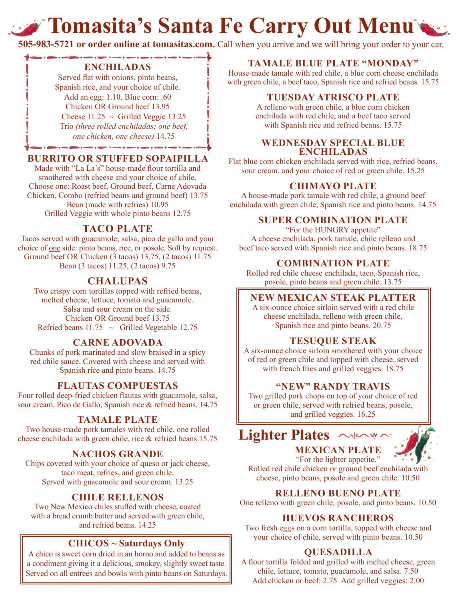# **Tomasita's Santa Fe Carry Out Menu's**

**505-983-5721 or order online at tomasitas.com.** Call when you arrive and we will bring your order to your car.

#### **ENCHILADAS**

Served flat with onions, pinto beans, Spanish rice, and your choice of chile. Add an egg: 1.10, Blue corn: .60 Chicken OR Ground beef 13.95 Cheese  $11.25 \sim$  Grilled Veggie 13.25 Trio *(three rolled enchiladas; one beef, one chicken, one cheese)* 14.75

### **BURRITO OR STUFFED SOPAIPILLA**

Made with "La La's" house-made flour tortilla and smothered with cheese and your choice of chile. Choose one: Roast beef, Ground beef, Carne Adovada Chicken, Combo (refried beans and ground beef) 13.75 Bean (made with refries) 10.95 Grilled Veggie with whole pinto beans 12.75

# **TACO PLATE**

Tacos served with guacamole, salsa, pico de gallo and your choice of one side: pinto beans, rice, or posole. Soft by request. Ground beef OR Chicken (3 tacos) 13.75, (2 tacos) 11.75 Bean (3 tacos) 11.25, (2 tacos) 9.75

# **CHALUPAS**

Two crispy corn tortillas topped with refried beans, melted cheese, lettuce, tomato and guacamole. Salsa and sour cream on the side. Chicken OR Ground beef 13.75 Refried beans  $11.75 \sim$  Grilled Vegetable 12.75

# **CARNE ADOVADA**

Chunks of pork marinated and slow braised in a spicy red chile sauce. Covered with cheese and served with Spanish rice and pinto beans. 14.75

### **FLAUTAS COMPUESTAS**

Four rolled deep-fried chicken flautas with guacamole, salsa, sour cream, Pico de Gallo, Spanish rice & refried beans. 14.75

#### **TAMALE PLATE**

Two house-made pork tamales with red chile, one rolled cheese enchilada with green chile, rice & refried beans.15.75

### **NACHOS GRANDE**

Chips covered with your choice of queso or jack cheese, taco meat, refries, and green chile. Served with guacamole and sour cream. 13.25

### **CHILE RELLENOS**

Two New Mexico chiles stuffed with cheese, coated with a bread crumb batter and served with green chile, and refried beans. 14.25

### **CHICOS ~ Saturdays Only**

A chico is sweet corn dried in an horno and added to beans as a condiment giving it a delicious, smokey, slightly sweet taste. Served on all entrees and bowls with pinto beans on Saturdays.

### **TAMALE BLUE PLATE "MONDAY"**

House-made tamale with red chile, a blue corn cheese enchilada with green chile, a beef taco, Spanish rice and refried beans. 15.75

#### **TUESDAY ATRISCO PLATE**

A relleno with green chile, a blue corn chicken enchilada with red chile, and a beef taco served with Spanish rice and refried beans. 15.75

#### **WEDNESDAY SPECIAL BLUE ENCHILADAS**

Flat blue corn chicken enchilada served with rice, refried beans, sour cream, and your choice of red or green chile. 15.25

### **CHIMAYO PLATE**

A house-made pork tamale with red chile, a ground beef enchilada with green chile, Spanish rice and pinto beans. 14.75

#### **SUPER COMBINATION PLATE**

"For the HUNGRY appetite" A cheese enchilada, pork tamale, chile relleno and beef taco served with Spanish rice and pinto beans. 18.75

#### **COMBINATION PLATE**

Rolled red chile cheese enchilada, taco, Spanish rice, posole, pinto beans and green chile. 13.75

#### **NEW MEXICAN STEAK PLATTER**

A six-ounce choice sirloin served with a red chile cheese enchilada, relleno with green chile, Spanish rice and pinto beans. 20.75

#### **TESUQUE STEAK**

A six-ounce choice sirloin smothered with your choice of red or green chile and topped with cheese, served with french fries and grilled veggies. 18.75

### **"NEW" RANDY TRAVIS**

Two grilled pork chops on top of your choice of red or green chile, served with refried beans, posole, and grilled veggies. 16.25



"For the lighter appetite." Rolled red chile chicken or ground beef enchilada with cheese, pinto beans, posole and green chile. 10.50

#### **RELLENO BUENO PLATE**

One relleno with green chile, posole, and pinto beans. 10.50

#### **HUEVOS RANCHEROS**

Two fresh eggs on a corn tortilla, topped with cheese and your choice of chile, served with pinto beans. 10.50

### **QUESADILLA**

A flour tortilla folded and grilled with melted cheese, green chile, lettuce, tomato, guacamole, and salsa. 7.50 Add chicken or beef: 2.75 Add grilled veggies: 2.00